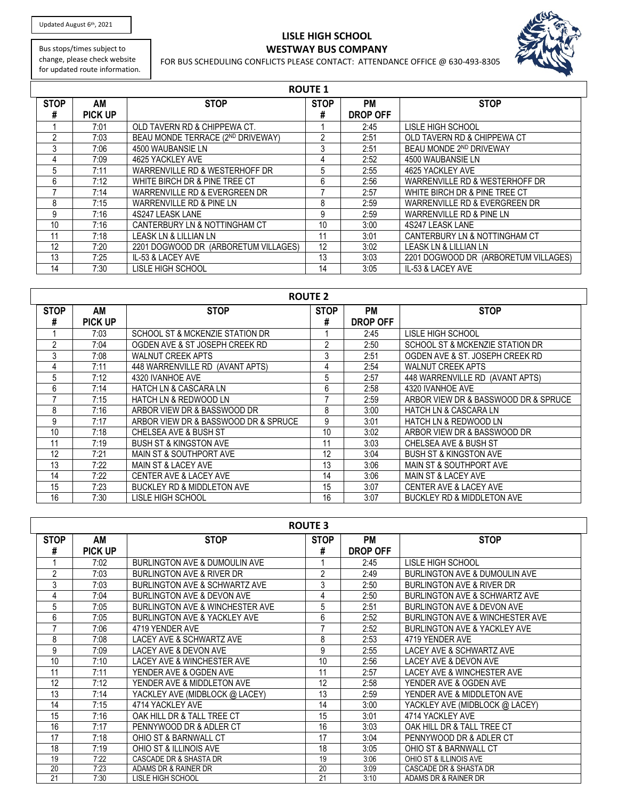Updated August 6<sup>th</sup>, 2021

## **LISLE HIGH SCHOOL WESTWAY BUS COMPANY**



Bus stops/times subject to change, please check website for updated route information.

## FOR BUS SCHEDULING CONFLICTS PLEASE CONTACT: ATTENDANCE OFFICE @ 630-493-8305

| <b>ROUTE 1</b> |                |                                      |             |                 |                                      |  |
|----------------|----------------|--------------------------------------|-------------|-----------------|--------------------------------------|--|
| <b>STOP</b>    | AM             | <b>STOP</b>                          | <b>STOP</b> | РM              | <b>STOP</b>                          |  |
| #              | <b>PICK UP</b> |                                      | #           | <b>DROP OFF</b> |                                      |  |
|                | 7:01           | OLD TAVERN RD & CHIPPEWA CT.         |             | 2:45            | LISLE HIGH SCHOOL                    |  |
| $\mathfrak{p}$ | 7:03           | BEAU MONDE TERRACE (2ND DRIVEWAY)    | 2           | 2:51            | OLD TAVERN RD & CHIPPEWA CT          |  |
| 3              | 7:06           | 4500 WAUBANSIE LN                    | 3           | 2:51            | BEAU MONDE 2ND DRIVEWAY              |  |
| 4              | 7:09           | 4625 YACKLEY AVE                     | 4           | 2:52            | 4500 WAUBANSIE LN                    |  |
| 5              | 7:11           | WARRENVILLE RD & WESTERHOFF DR       | 5           | 2:55            | 4625 YACKLEY AVE                     |  |
| 6              | 7:12           | WHITE BIRCH DR & PINE TREE CT        | 6           | 2:56            | WARRENVILLE RD & WESTERHOFF DR       |  |
|                | 7:14           | WARRENVILLE RD & EVERGREEN DR        |             | 2:57            | WHITE BIRCH DR & PINE TREE CT        |  |
| 8              | 7:15           | WARRENVILLE RD & PINE LN             | 8           | 2:59            | WARRENVILLE RD & EVERGREEN DR        |  |
| 9              | 7:16           | 4S247 LEASK LANE                     | 9           | 2:59            | WARRENVILLE RD & PINE LN             |  |
| 10             | 7:16           | CANTERBURY LN & NOTTINGHAM CT        | 10          | 3:00            | 4S247 LEASK LANE                     |  |
| 11             | 7:18           | LEASK LN & LILLIAN LN                | 11          | 3:01            | CANTERBURY LN & NOTTINGHAM CT        |  |
| 12             | 7:20           | 2201 DOGWOOD DR (ARBORETUM VILLAGES) | 12          | 3:02            | LEASK LN & LILLIAN LN                |  |
| 13             | 7:25           | IL-53 & LACEY AVE                    | 13          | 3:03            | 2201 DOGWOOD DR (ARBORETUM VILLAGES) |  |
| 14             | 7:30           | LISLE HIGH SCHOOL                    | 14          | 3:05            | IL-53 & LACEY AVE                    |  |

| <b>ROUTE 2</b> |         |                                      |             |                 |                                       |  |
|----------------|---------|--------------------------------------|-------------|-----------------|---------------------------------------|--|
| <b>STOP</b>    | AM      | <b>STOP</b>                          | <b>STOP</b> | <b>PM</b>       | <b>STOP</b>                           |  |
| #              | PICK UP |                                      | #           | <b>DROP OFF</b> |                                       |  |
|                | 7:03    | SCHOOL ST & MCKENZIE STATION DR      |             | 2:45            | LISLE HIGH SCHOOL                     |  |
| 2              | 7:04    | OGDEN AVE & ST JOSEPH CREEK RD       | 2           | 2:50            | SCHOOL ST & MCKENZIE STATION DR       |  |
| 3              | 7:08    | <b>WALNUT CREEK APTS</b>             | 3           | 2:51            | OGDEN AVE & ST. JOSEPH CREEK RD       |  |
| 4              | 7:11    | 448 WARRENVILLE RD (AVANT APTS)      | 4           | 2:54            | <b>WALNUT CREEK APTS</b>              |  |
| 5              | 7:12    | 4320 IVANHOE AVE                     | 5           | 2:57            | 448 WARRENVILLE RD (AVANT APTS)       |  |
| 6              | 7:14    | <b>HATCH LN &amp; CASCARA LN</b>     | 6           | 2:58            | 4320 IVANHOE AVE                      |  |
|                | 7:15    | HATCH LN & REDWOOD LN                |             | 2:59            | ARBOR VIEW DR & BASSWOOD DR & SPRUCE  |  |
| 8              | 7:16    | ARBOR VIEW DR & BASSWOOD DR          | 8           | 3:00            | <b>HATCH LN &amp; CASCARA LN</b>      |  |
| 9              | 7:17    | ARBOR VIEW DR & BASSWOOD DR & SPRUCE | 9           | 3:01            | <b>HATCH LN &amp; REDWOOD LN</b>      |  |
| 10             | 7:18    | <b>CHELSEA AVE &amp; BUSH ST</b>     | 10          | 3:02            | ARBOR VIEW DR & BASSWOOD DR           |  |
| 11             | 7:19    | <b>BUSH ST &amp; KINGSTON AVE</b>    | 11          | 3:03            | <b>CHELSEA AVE &amp; BUSH ST</b>      |  |
| 12             | 7:21    | MAIN ST & SOUTHPORT AVE              | 12          | 3:04            | <b>BUSH ST &amp; KINGSTON AVE</b>     |  |
| 13             | 7:22    | MAIN ST & LACEY AVE                  | 13          | 3:06            | <b>MAIN ST &amp; SOUTHPORT AVE</b>    |  |
| 14             | 7:22    | CENTER AVE & LACEY AVE               | 14          | 3:06            | <b>MAIN ST &amp; LACEY AVE</b>        |  |
| 15             | 7:23    | BUCKLEY RD & MIDDLETON AVE           | 15          | 3:07            | CENTER AVE & LACEY AVE                |  |
| 16             | 7:30    | LISLE HIGH SCHOOL                    | 16          | 3:07            | <b>BUCKLEY RD &amp; MIDDLETON AVE</b> |  |

| <b>ROUTE 3</b>   |                      |                                            |                  |                       |                                            |  |
|------------------|----------------------|--------------------------------------------|------------------|-----------------------|--------------------------------------------|--|
| <b>STOP</b><br># | AM<br><b>PICK UP</b> | <b>STOP</b>                                | <b>STOP</b><br># | PM<br><b>DROP OFF</b> | <b>STOP</b>                                |  |
|                  | 7:02                 | BURLINGTON AVE & DUMOULIN AVE              |                  | 2:45                  | LISLE HIGH SCHOOL                          |  |
| $\overline{2}$   | 7:03                 | <b>BURLINGTON AVE &amp; RIVER DR</b>       | $\overline{2}$   | 2:49                  | <b>BURLINGTON AVE &amp; DUMOULIN AVE</b>   |  |
| 3                | 7:03                 | BURLINGTON AVE & SCHWARTZ AVE              | 3                | 2:50                  | <b>BURLINGTON AVE &amp; RIVER DR</b>       |  |
| 4                | 7:04                 | <b>BURLINGTON AVE &amp; DEVON AVE</b>      | 4                | 2:50                  | <b>BURLINGTON AVE &amp; SCHWARTZ AVE</b>   |  |
| 5                | 7:05                 | <b>BURLINGTON AVE &amp; WINCHESTER AVE</b> | 5                | 2:51                  | <b>BURLINGTON AVE &amp; DEVON AVE</b>      |  |
| 6                | 7:05                 | <b>BURLINGTON AVE &amp; YACKLEY AVE</b>    | 6                | 2:52                  | <b>BURLINGTON AVE &amp; WINCHESTER AVE</b> |  |
| $\overline{7}$   | 7:06                 | 4719 YENDER AVE                            |                  | 2:52                  | <b>BURLINGTON AVE &amp; YACKLEY AVE</b>    |  |
| 8                | 7:08                 | LACEY AVE & SCHWARTZ AVE                   | 8                | 2:53                  | 4719 YENDER AVE                            |  |
| 9                | 7:09                 | LACEY AVE & DEVON AVE                      | 9                | 2:55                  | LACEY AVE & SCHWARTZ AVE                   |  |
| 10               | 7:10                 | LACEY AVE & WINCHESTER AVE                 | 10               | 2:56                  | LACEY AVE & DEVON AVE                      |  |
| 11               | 7:11                 | YENDER AVE & OGDEN AVE                     | 11               | 2:57                  | LACEY AVE & WINCHESTER AVE                 |  |
| 12               | 7:12                 | YENDER AVE & MIDDLETON AVE                 | 12               | 2:58                  | YENDER AVE & OGDEN AVE                     |  |
| 13               | 7:14                 | YACKLEY AVE (MIDBLOCK @ LACEY)             | 13               | 2:59                  | YENDER AVE & MIDDLETON AVE                 |  |
| 14               | 7:15                 | 4714 YACKLEY AVE                           | 14               | 3:00                  | YACKLEY AVE (MIDBLOCK @ LACEY)             |  |
| 15               | 7:16                 | OAK HILL DR & TALL TREE CT                 | 15               | 3:01                  | 4714 YACKLEY AVE                           |  |
| 16               | 7:17                 | PENNYWOOD DR & ADLER CT                    | 16               | 3:03                  | OAK HILL DR & TALL TREE CT                 |  |
| 17               | 7:18                 | OHIO ST & BARNWALL CT                      | 17               | 3:04                  | PENNYWOOD DR & ADLER CT                    |  |
| 18               | 7:19                 | OHIO ST & ILLINOIS AVE                     | 18               | 3:05                  | OHIO ST & BARNWALL CT                      |  |
| 19               | 7:22                 | CASCADE DR & SHASTA DR                     | 19               | 3:06                  | OHIO ST & ILLINOIS AVE                     |  |
| 20               | 7:23                 | ADAMS DR & RAINER DR                       | 20               | 3:09                  | CASCADE DR & SHASTA DR                     |  |
| 21               | 7:30                 | LISLE HIGH SCHOOL                          | 21               | 3:10                  | ADAMS DR & RAINER DR                       |  |